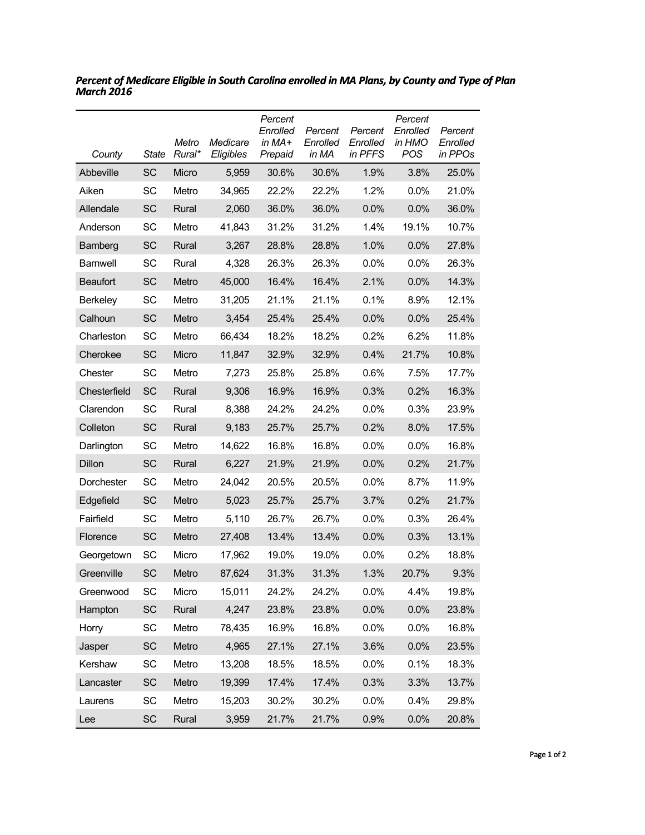| County          | State     | Metro<br>Rural* | Medicare<br>Eligibles | Percent<br>Enrolled<br>in $MA+$<br>Prepaid | Percent<br>Enrolled<br>in MA | Percent<br>Enrolled<br>in PFFS | Percent<br>Enrolled<br>in HMO<br>POS | Percent<br>Enrolled<br>in PPOs |
|-----------------|-----------|-----------------|-----------------------|--------------------------------------------|------------------------------|--------------------------------|--------------------------------------|--------------------------------|
| Abbeville       | <b>SC</b> | Micro           | 5,959                 | 30.6%                                      | 30.6%                        | 1.9%                           | 3.8%                                 | 25.0%                          |
| Aiken           | SC        | Metro           | 34,965                | 22.2%                                      | 22.2%                        | 1.2%                           | 0.0%                                 | 21.0%                          |
| Allendale       | <b>SC</b> | Rural           | 2,060                 | 36.0%                                      | 36.0%                        | 0.0%                           | 0.0%                                 | 36.0%                          |
| Anderson        | SC        | Metro           | 41,843                | 31.2%                                      | 31.2%                        | 1.4%                           | 19.1%                                | 10.7%                          |
| Bamberg         | <b>SC</b> | Rural           | 3,267                 | 28.8%                                      | 28.8%                        | 1.0%                           | 0.0%                                 | 27.8%                          |
| Barnwell        | SC        | Rural           | 4,328                 | 26.3%                                      | 26.3%                        | $0.0\%$                        | 0.0%                                 | 26.3%                          |
| <b>Beaufort</b> | <b>SC</b> | Metro           | 45,000                | 16.4%                                      | 16.4%                        | 2.1%                           | 0.0%                                 | 14.3%                          |
| <b>Berkeley</b> | SC        | Metro           | 31,205                | 21.1%                                      | 21.1%                        | 0.1%                           | 8.9%                                 | 12.1%                          |
| Calhoun         | <b>SC</b> | Metro           | 3,454                 | 25.4%                                      | 25.4%                        | 0.0%                           | 0.0%                                 | 25.4%                          |
| Charleston      | SC        | Metro           | 66,434                | 18.2%                                      | 18.2%                        | 0.2%                           | 6.2%                                 | 11.8%                          |
| Cherokee        | <b>SC</b> | Micro           | 11,847                | 32.9%                                      | 32.9%                        | 0.4%                           | 21.7%                                | 10.8%                          |
| Chester         | SC        | Metro           | 7,273                 | 25.8%                                      | 25.8%                        | 0.6%                           | 7.5%                                 | 17.7%                          |
| Chesterfield    | SC        | Rural           | 9,306                 | 16.9%                                      | 16.9%                        | 0.3%                           | 0.2%                                 | 16.3%                          |
| Clarendon       | SC        | Rural           | 8,388                 | 24.2%                                      | 24.2%                        | 0.0%                           | 0.3%                                 | 23.9%                          |
| Colleton        | SC        | Rural           | 9,183                 | 25.7%                                      | 25.7%                        | 0.2%                           | 8.0%                                 | 17.5%                          |
| Darlington      | SC        | Metro           | 14,622                | 16.8%                                      | 16.8%                        | $0.0\%$                        | 0.0%                                 | 16.8%                          |
| Dillon          | <b>SC</b> | Rural           | 6,227                 | 21.9%                                      | 21.9%                        | 0.0%                           | 0.2%                                 | 21.7%                          |
| Dorchester      | SC        | Metro           | 24,042                | 20.5%                                      | 20.5%                        | $0.0\%$                        | 8.7%                                 | 11.9%                          |
| Edgefield       | <b>SC</b> | Metro           | 5,023                 | 25.7%                                      | 25.7%                        | 3.7%                           | 0.2%                                 | 21.7%                          |
| Fairfield       | SC        | Metro           | 5,110                 | 26.7%                                      | 26.7%                        | $0.0\%$                        | 0.3%                                 | 26.4%                          |
| Florence        | <b>SC</b> | Metro           | 27,408                | 13.4%                                      | 13.4%                        | 0.0%                           | 0.3%                                 | 13.1%                          |
| Georgetown      | SC        | Micro           | 17,962                | 19.0%                                      | 19.0%                        | 0.0%                           | 0.2%                                 | 18.8%                          |
| Greenville      | SC        | Metro           | 87,624                | 31.3%                                      | 31.3%                        | 1.3%                           | 20.7%                                | 9.3%                           |
| Greenwood       | SC        | Micro           | 15,011                | 24.2%                                      | 24.2%                        | 0.0%                           | 4.4%                                 | 19.8%                          |
| Hampton         | <b>SC</b> | Rural           | 4,247                 | 23.8%                                      | 23.8%                        | 0.0%                           | 0.0%                                 | 23.8%                          |
| Horry           | SC        | Metro           | 78,435                | 16.9%                                      | 16.8%                        | 0.0%                           | 0.0%                                 | 16.8%                          |
| Jasper          | <b>SC</b> | Metro           | 4,965                 | 27.1%                                      | 27.1%                        | 3.6%                           | 0.0%                                 | 23.5%                          |
| Kershaw         | SC        | Metro           | 13,208                | 18.5%                                      | 18.5%                        | 0.0%                           | 0.1%                                 | 18.3%                          |
| Lancaster       | <b>SC</b> | Metro           | 19,399                | 17.4%                                      | 17.4%                        | 0.3%                           | 3.3%                                 | 13.7%                          |
| Laurens         | SC        | Metro           | 15,203                | 30.2%                                      | 30.2%                        | 0.0%                           | 0.4%                                 | 29.8%                          |
| Lee             | <b>SC</b> | Rural           | 3,959                 | 21.7%                                      | 21.7%                        | 0.9%                           | 0.0%                                 | 20.8%                          |

*Percent of Medicare Eligible in South Carolina enrolled in MA Plans, by County and Type of Plan March 2016*